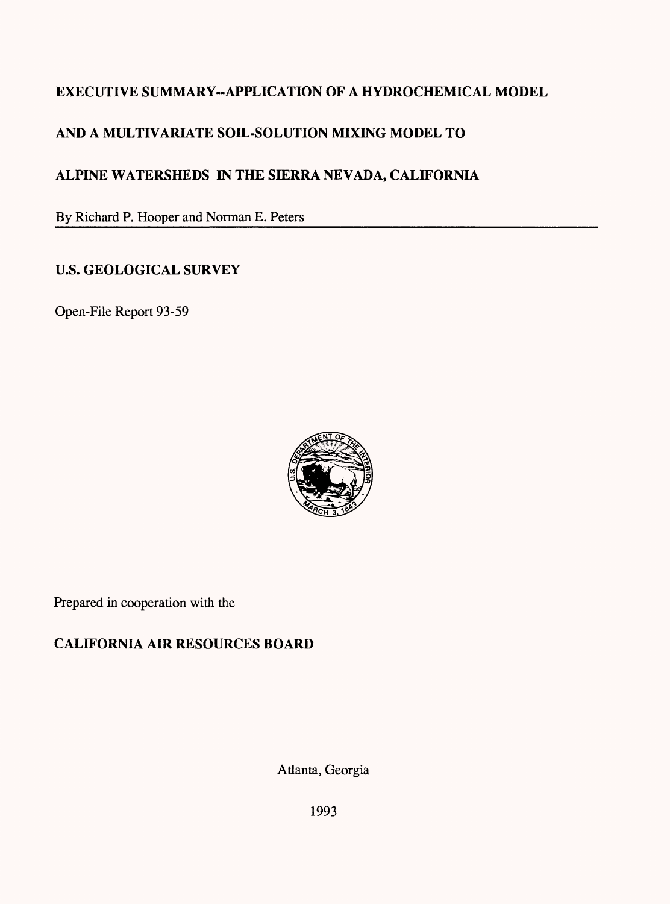# **EXECUTIVE SUMMARY-APPLICATION OF A HYDROCHEMICAL MODEL**

# **AND A MULTIVARIATE SOIL-SOLUTION MIXING MODEL TO**

# **ALPINE WATERSHEDS IN THE SIERRA NEVADA, CALIFORNIA**

By Richard P. Hooper and Norman E. Peters

## **U.S. GEOLOGICAL SURVEY**

Open-File Report 93-59



Prepared in cooperation with the

# **CALIFORNIA AIR RESOURCES BOARD**

Atlanta, Georgia

1993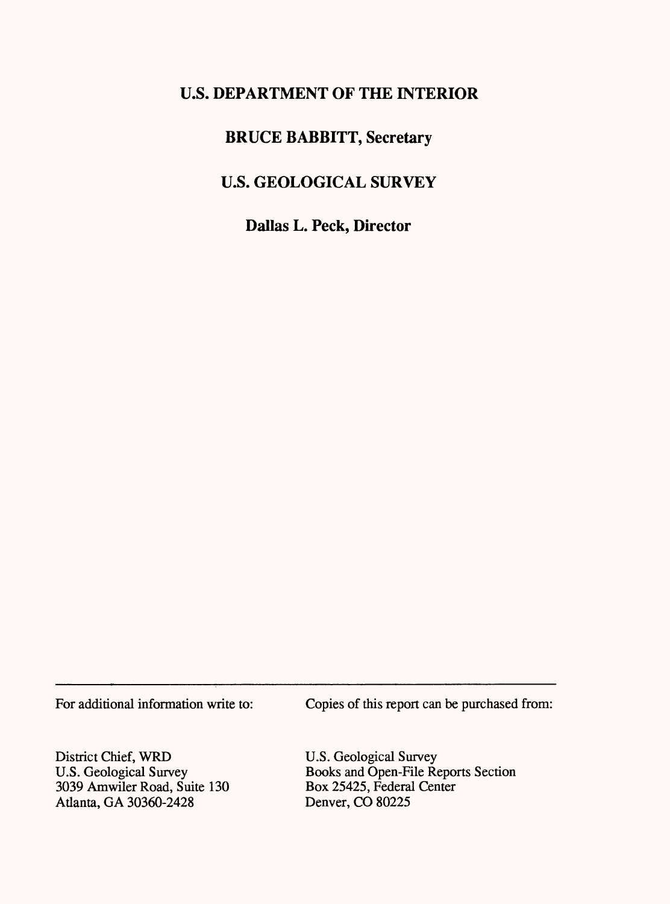# **U.S. DEPARTMENT OF THE INTERIOR**

## **BRUCE BABBITT, Secretary**

# **U.S. GEOLOGICAL SURVEY**

**Dallas L. Peck, Director**

For additional information write to: Copies of this report can be purchased from:

District Chief, WRD U.S. Geological Survey 3039 Amwiler Road, Suite 130 Atlanta, GA 30360-2428

U.S. Geological Survey Books and Open-File Reports Section Box 25425, Federal Center Denver, CO 80225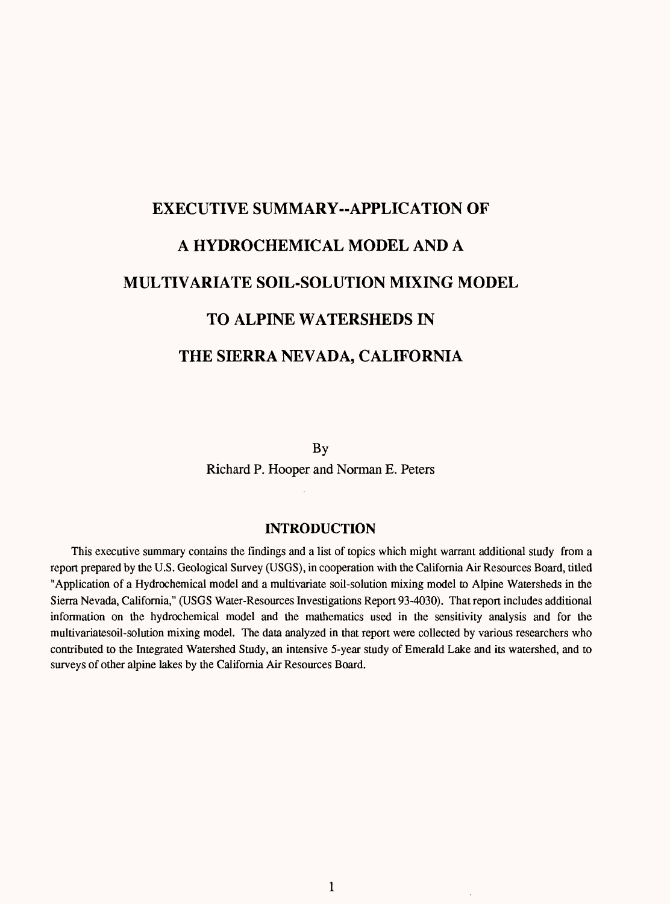# **EXECUTIVE SUMMARY-APPLICATION OF A HYDROCHEMICAL MODEL AND A MULTIVARIATE SOIL-SOLUTION MIXING MODEL TO ALPINE WATERSHEDS IN THE SIERRA NEVADA, CALIFORNIA**

By

Richard P. Hooper and Norman E. Peters

### **INTRODUCTION**

This executive summary contains the findings and a list of topics which might warrant additional study from a report prepared by the U.S. Geological Survey (USGS), in cooperation with the California Air Resources Board, titled "Application of a Hydrochemical model and a multivariate soil-solution mixing model to Alpine Watersheds in the Sierra Nevada, California," (USGS Water-Resources Investigations Report 93-4030). That report includes additional information on the hydrochemical model and the mathematics used in the sensitivity analysis and for the multivariatesoil-solution mixing model. The data analyzed in that report were collected by various researchers who contributed to the Integrated Watershed Study, an intensive 5-year study of Emerald Lake and its watershed, and to surveys of other alpine lakes by the California Air Resources Board.